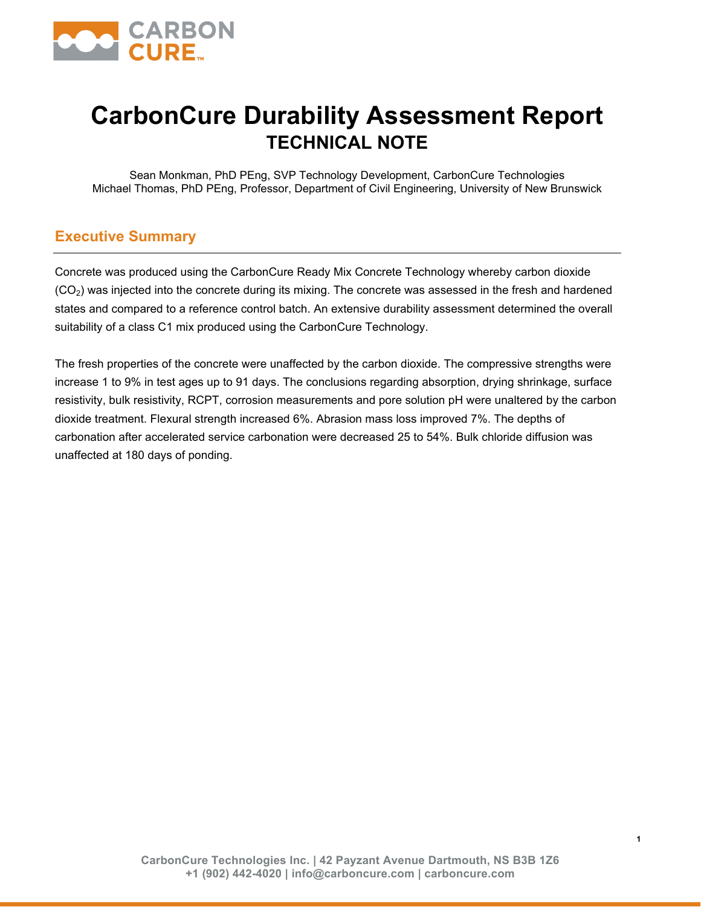

## **CarbonCure Durability Assessment Report TECHNICAL NOTE**

Sean Monkman, PhD PEng, SVP Technology Development, CarbonCure Technologies Michael Thomas, PhD PEng, Professor, Department of Civil Engineering, University of New Brunswick

## **EXECUTIVE SUMMARY**

Concrete was produced using the CarbonCure Ready Mix Concrete Technology whereby carbon dioxide was injected into the concrete during its mixing. The concrete was assessed in the fresh and hardened states and compared to a reference control batch. An extensive durability assessment determined the overall suitability of a class C1 mix produced using the CarbonCure Technology.

The fresh properties of the concrete were unaffected by the carbon dioxide. The compressive strengths were increase 1 to 9% in test ages up to 91 days. The conclusions regarding absorption, drying shrinkage, surface resistivity, bulk resistivity, RCPT, corrosion measurements and pore solution pH were unaltered by the carbon dioxide treatment. Flexural strength increased 6%. Abrasion mass loss improved 7%. The depths of carbonation after accelerated service carbonation were decreased 25 to 54%. Bulk chloride diffusion was unaffected at 180 days of ponding.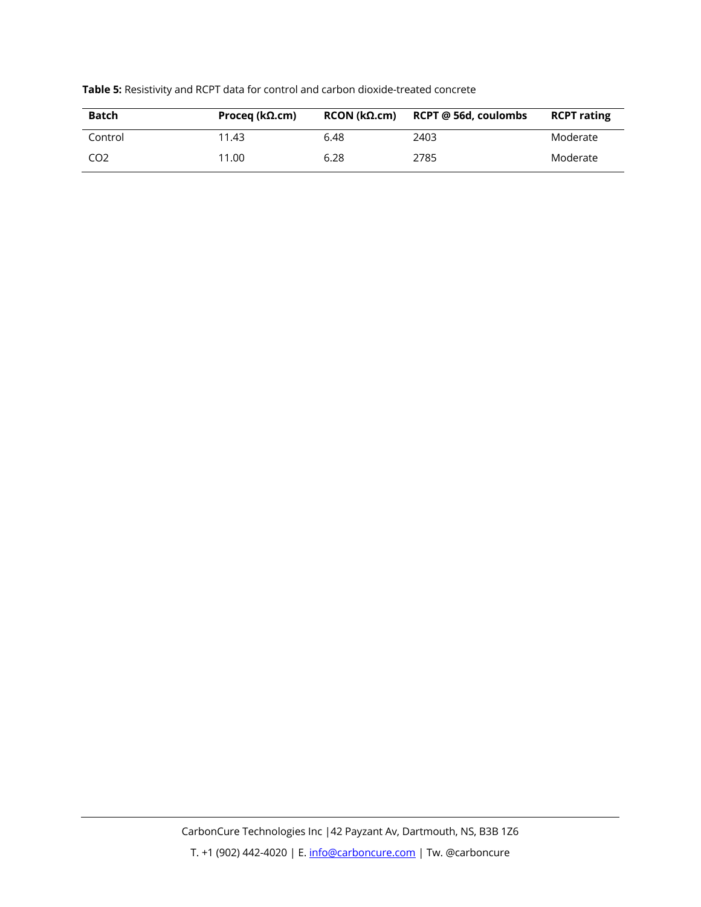

## **Table 5:** Resistivity and RCPT data for control and carbon dioxide-treated concrete

| <b>Batch</b>    | Proceg ( $k\Omega$ .cm) | RCON (kΩ.cm) | RCPT @ 56d, coulombs | <b>RCPT rating</b> |
|-----------------|-------------------------|--------------|----------------------|--------------------|
| Control         | 11.43                   | 6.48         | 2403                 | Moderate           |
| CO <sub>2</sub> | 11.00                   | 6.28         | 2785                 | Moderate           |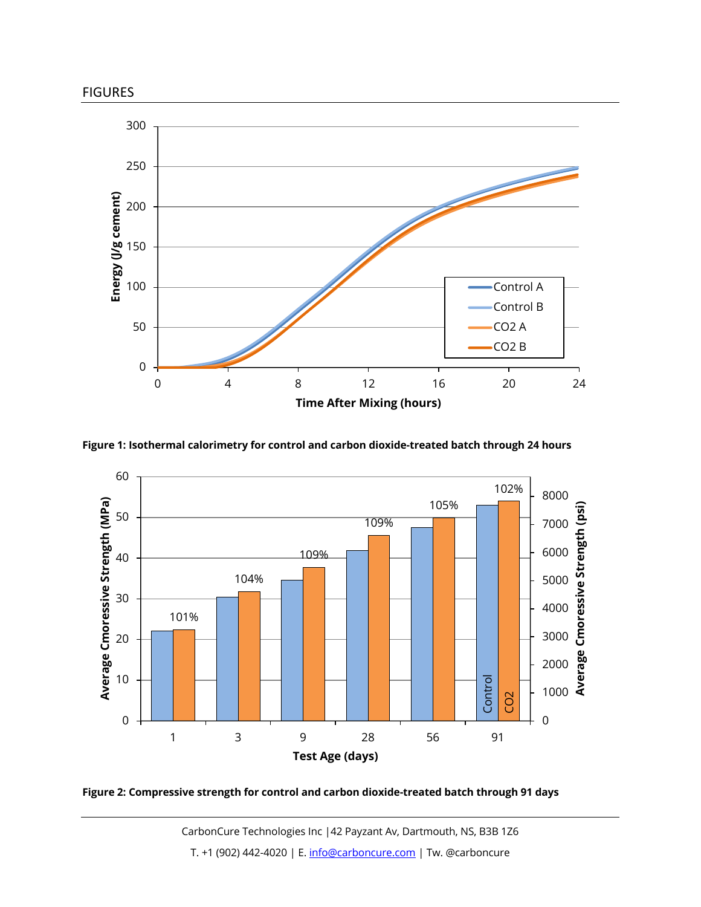

FIGURES



**Figure 1: Isothermal calorimetry for control and carbon dioxide-treated batch through 24 hours**



**Figure 2: Compressive strength for control and carbon dioxide-treated batch through 91 days**

9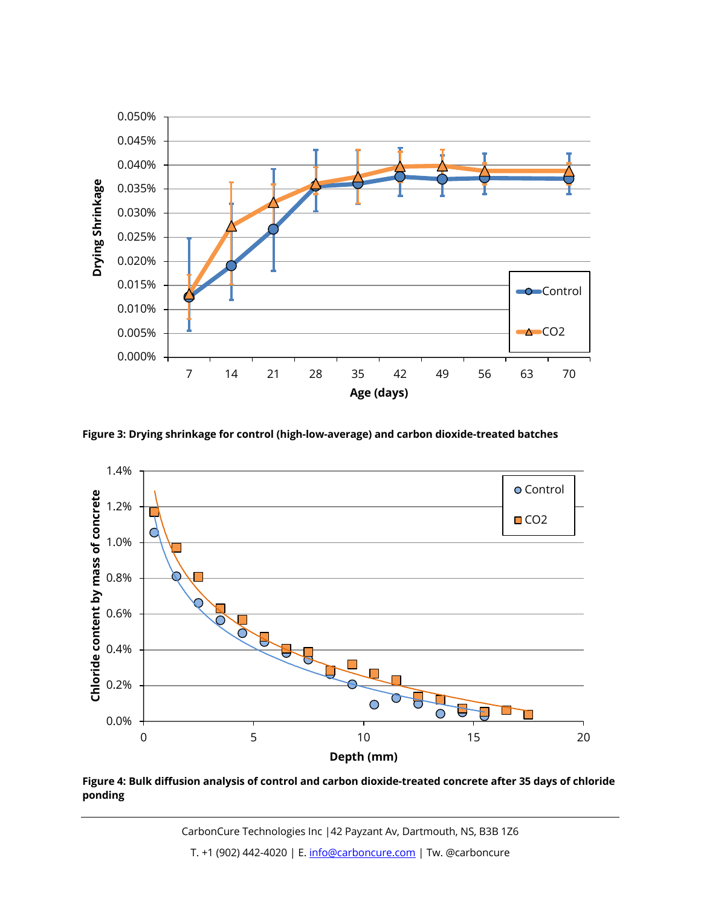



**Figure 3: Drying shrinkage for control (high-low-average) and carbon dioxide-treated batches**



**Figure 4: Bulk diffusion analysis of control and carbon dioxide-treated concrete after 35 days of chloride ponding**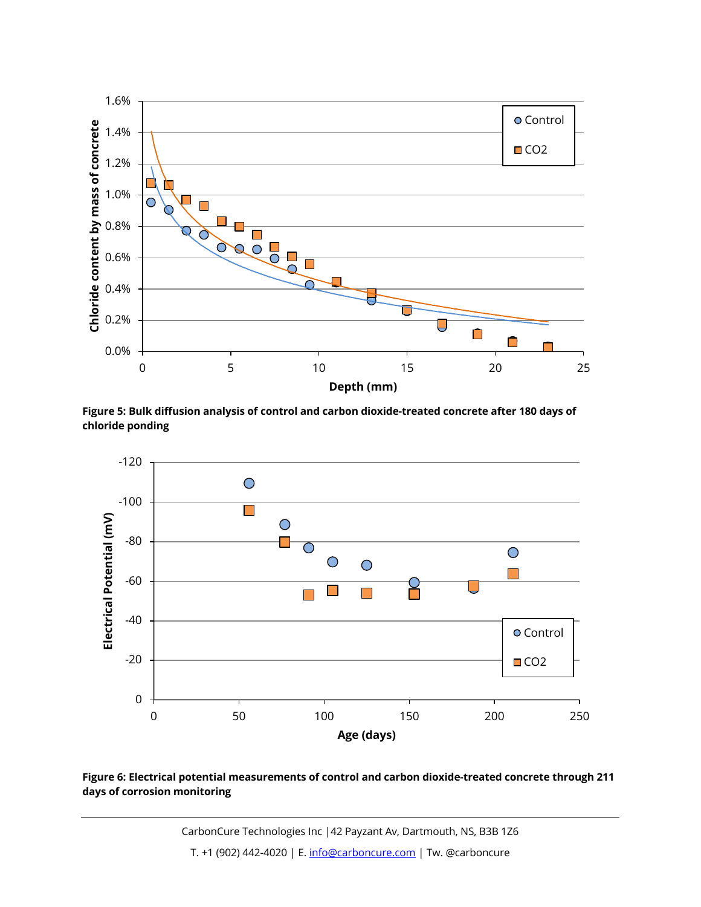



**Figure 5: Bulk diffusion analysis of control and carbon dioxide-treated concrete after 180 days of chloride ponding**



**Figure 6: Electrical potential measurements of control and carbon dioxide-treated concrete through 211 days of corrosion monitoring**